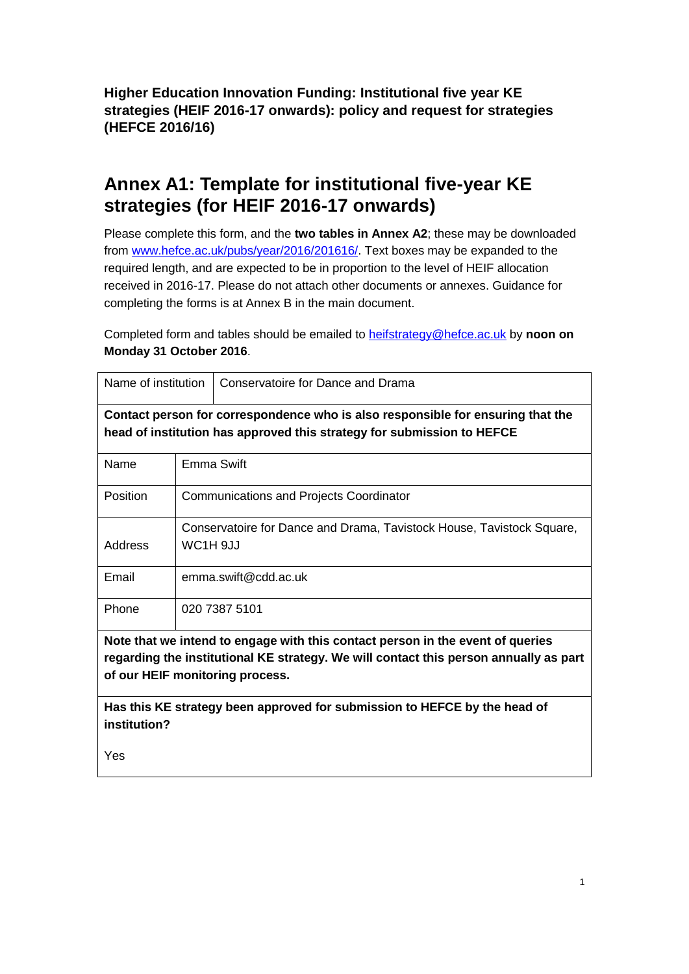**Higher Education Innovation Funding: Institutional five year KE strategies (HEIF 2016-17 onwards): policy and request for strategies (HEFCE 2016/16)**

# **Annex A1: Template for institutional five-year KE strategies (for HEIF 2016-17 onwards)**

Please complete this form, and the **two tables in Annex A2**; these may be downloaded from [www.hefce.ac.uk/pubs/year/2016/201616/.](http://www.hefce.ac.uk/pubs/year/2016/201616/) Text boxes may be expanded to the required length, and are expected to be in proportion to the level of HEIF allocation received in 2016-17. Please do not attach other documents or annexes. Guidance for completing the forms is at Annex B in the main document.

Completed form and tables should be emailed to [heifstrategy@hefce.ac.uk](mailto:heifstrategy@hefce.ac.uk) by **noon on Monday 31 October 2016**.

| Name of institution                                                                   |                                                | Conservatoire for Dance and Drama                                     |
|---------------------------------------------------------------------------------------|------------------------------------------------|-----------------------------------------------------------------------|
| Contact person for correspondence who is also responsible for ensuring that the       |                                                |                                                                       |
| head of institution has approved this strategy for submission to HEFCE                |                                                |                                                                       |
| Name                                                                                  | Emma Swift                                     |                                                                       |
| Position                                                                              | <b>Communications and Projects Coordinator</b> |                                                                       |
|                                                                                       |                                                | Conservatoire for Dance and Drama, Tavistock House, Tavistock Square, |
| Address                                                                               | WC1H 9JJ                                       |                                                                       |
| Email                                                                                 | emma.swift@cdd.ac.uk                           |                                                                       |
| Phone                                                                                 |                                                | 020 7387 5101                                                         |
| Note that we intend to engage with this contact person in the event of queries        |                                                |                                                                       |
| regarding the institutional KE strategy. We will contact this person annually as part |                                                |                                                                       |
| of our HEIF monitoring process.                                                       |                                                |                                                                       |
| Has this KE strategy been approved for submission to HEFCE by the head of             |                                                |                                                                       |
| institution?                                                                          |                                                |                                                                       |

Yes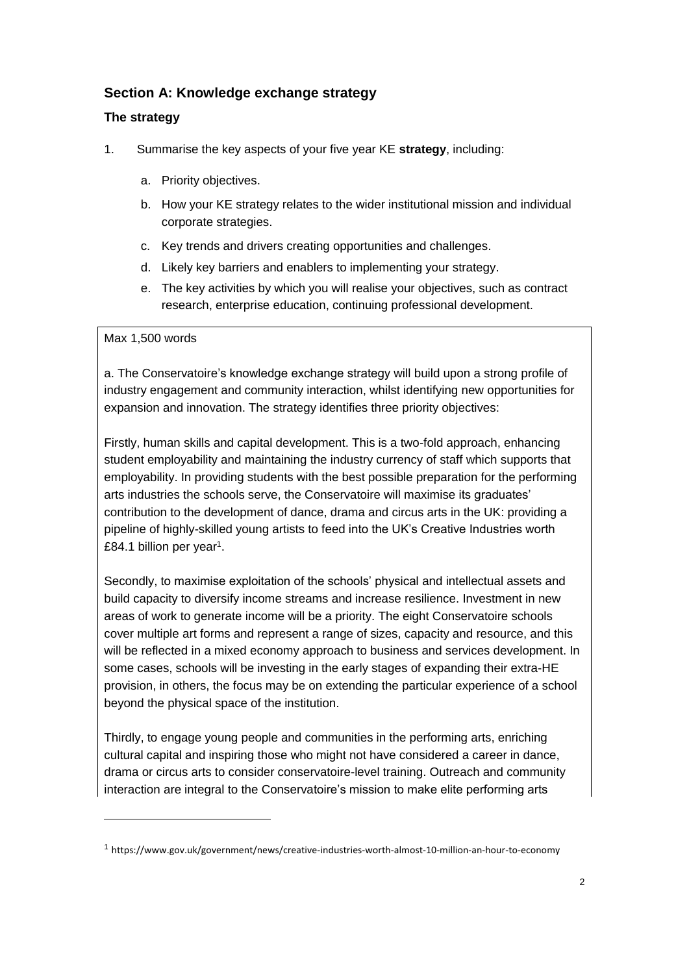# **Section A: Knowledge exchange strategy**

# **The strategy**

- 1. Summarise the key aspects of your five year KE **strategy**, including:
	- a. Priority objectives.
	- b. How your KE strategy relates to the wider institutional mission and individual corporate strategies.
	- c. Key trends and drivers creating opportunities and challenges.
	- d. Likely key barriers and enablers to implementing your strategy.
	- e. The key activities by which you will realise your objectives, such as contract research, enterprise education, continuing professional development.

# Max 1,500 words

1

a. The Conservatoire's knowledge exchange strategy will build upon a strong profile of industry engagement and community interaction, whilst identifying new opportunities for expansion and innovation. The strategy identifies three priority objectives:

Firstly, human skills and capital development. This is a two-fold approach, enhancing student employability and maintaining the industry currency of staff which supports that employability. In providing students with the best possible preparation for the performing arts industries the schools serve, the Conservatoire will maximise its graduates' contribution to the development of dance, drama and circus arts in the UK: providing a pipeline of highly-skilled young artists to feed into the UK's Creative Industries worth £84.1 billion per year<sup>1</sup>.

Secondly, to maximise exploitation of the schools' physical and intellectual assets and build capacity to diversify income streams and increase resilience. Investment in new areas of work to generate income will be a priority. The eight Conservatoire schools cover multiple art forms and represent a range of sizes, capacity and resource, and this will be reflected in a mixed economy approach to business and services development. In some cases, schools will be investing in the early stages of expanding their extra-HE provision, in others, the focus may be on extending the particular experience of a school beyond the physical space of the institution.

Thirdly, to engage young people and communities in the performing arts, enriching cultural capital and inspiring those who might not have considered a career in dance, drama or circus arts to consider conservatoire-level training. Outreach and community interaction are integral to the Conservatoire's mission to make elite performing arts

<sup>1</sup> https://www.gov.uk/government/news/creative-industries-worth-almost-10-million-an-hour-to-economy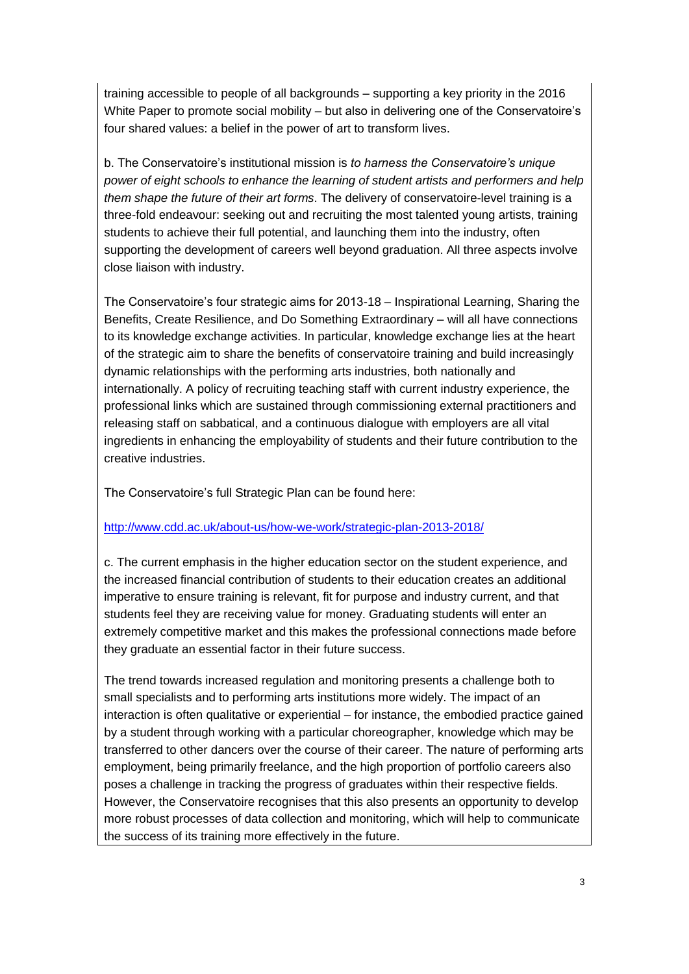training accessible to people of all backgrounds – supporting a key priority in the 2016 White Paper to promote social mobility – but also in delivering one of the Conservatoire's four shared values: a belief in the power of art to transform lives.

b. The Conservatoire's institutional mission is *to harness the Conservatoire's unique power of eight schools to enhance the learning of student artists and performers and help them shape the future of their art forms*. The delivery of conservatoire-level training is a three-fold endeavour: seeking out and recruiting the most talented young artists, training students to achieve their full potential, and launching them into the industry, often supporting the development of careers well beyond graduation. All three aspects involve close liaison with industry.

The Conservatoire's four strategic aims for 2013-18 – Inspirational Learning, Sharing the Benefits, Create Resilience, and Do Something Extraordinary – will all have connections to its knowledge exchange activities. In particular, knowledge exchange lies at the heart of the strategic aim to share the benefits of conservatoire training and build increasingly dynamic relationships with the performing arts industries, both nationally and internationally. A policy of recruiting teaching staff with current industry experience, the professional links which are sustained through commissioning external practitioners and releasing staff on sabbatical, and a continuous dialogue with employers are all vital ingredients in enhancing the employability of students and their future contribution to the creative industries.

The Conservatoire's full Strategic Plan can be found here:

#### <http://www.cdd.ac.uk/about-us/how-we-work/strategic-plan-2013-2018/>

c. The current emphasis in the higher education sector on the student experience, and the increased financial contribution of students to their education creates an additional imperative to ensure training is relevant, fit for purpose and industry current, and that students feel they are receiving value for money. Graduating students will enter an extremely competitive market and this makes the professional connections made before they graduate an essential factor in their future success.

The trend towards increased regulation and monitoring presents a challenge both to small specialists and to performing arts institutions more widely. The impact of an interaction is often qualitative or experiential – for instance, the embodied practice gained by a student through working with a particular choreographer, knowledge which may be transferred to other dancers over the course of their career. The nature of performing arts employment, being primarily freelance, and the high proportion of portfolio careers also poses a challenge in tracking the progress of graduates within their respective fields. However, the Conservatoire recognises that this also presents an opportunity to develop more robust processes of data collection and monitoring, which will help to communicate the success of its training more effectively in the future.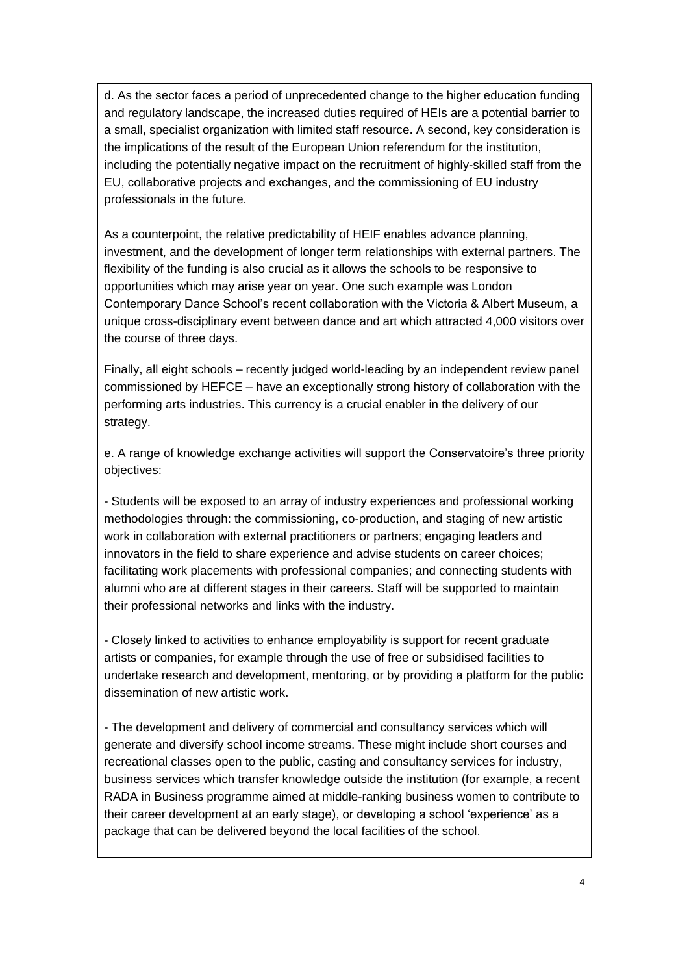d. As the sector faces a period of unprecedented change to the higher education funding and regulatory landscape, the increased duties required of HEIs are a potential barrier to a small, specialist organization with limited staff resource. A second, key consideration is the implications of the result of the European Union referendum for the institution, including the potentially negative impact on the recruitment of highly-skilled staff from the EU, collaborative projects and exchanges, and the commissioning of EU industry professionals in the future.

As a counterpoint, the relative predictability of HEIF enables advance planning, investment, and the development of longer term relationships with external partners. The flexibility of the funding is also crucial as it allows the schools to be responsive to opportunities which may arise year on year. One such example was London Contemporary Dance School's recent collaboration with the Victoria & Albert Museum, a unique cross-disciplinary event between dance and art which attracted 4,000 visitors over the course of three days.

Finally, all eight schools – recently judged world-leading by an independent review panel commissioned by HEFCE – have an exceptionally strong history of collaboration with the performing arts industries. This currency is a crucial enabler in the delivery of our strategy.

e. A range of knowledge exchange activities will support the Conservatoire's three priority objectives:

- Students will be exposed to an array of industry experiences and professional working methodologies through: the commissioning, co-production, and staging of new artistic work in collaboration with external practitioners or partners; engaging leaders and innovators in the field to share experience and advise students on career choices; facilitating work placements with professional companies; and connecting students with alumni who are at different stages in their careers. Staff will be supported to maintain their professional networks and links with the industry.

- Closely linked to activities to enhance employability is support for recent graduate artists or companies, for example through the use of free or subsidised facilities to undertake research and development, mentoring, or by providing a platform for the public dissemination of new artistic work.

- The development and delivery of commercial and consultancy services which will generate and diversify school income streams. These might include short courses and recreational classes open to the public, casting and consultancy services for industry, business services which transfer knowledge outside the institution (for example, a recent RADA in Business programme aimed at middle-ranking business women to contribute to their career development at an early stage), or developing a school 'experience' as a package that can be delivered beyond the local facilities of the school.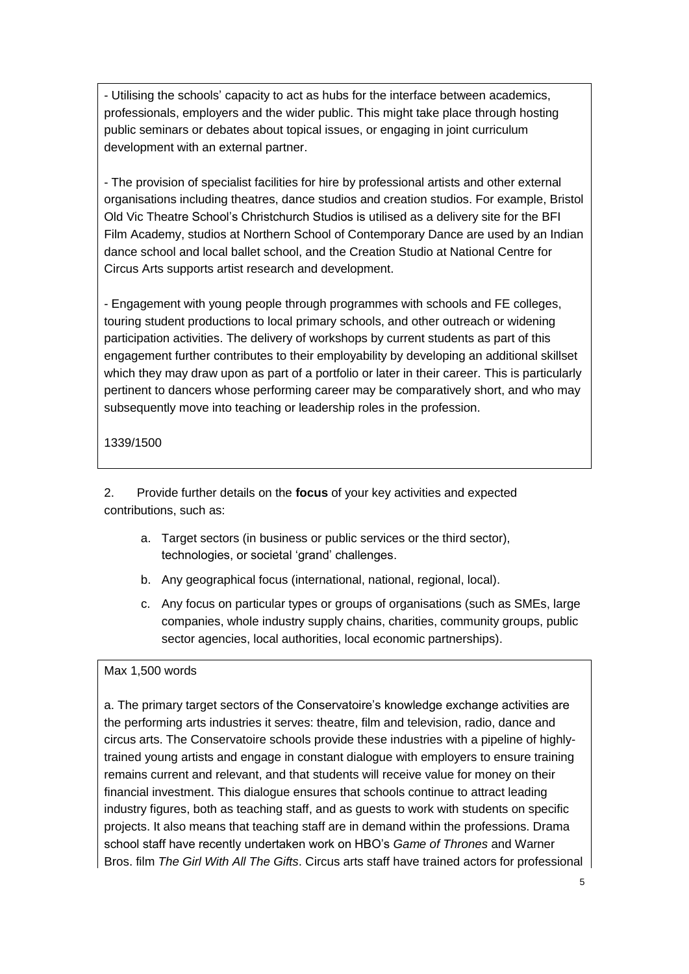- Utilising the schools' capacity to act as hubs for the interface between academics, professionals, employers and the wider public. This might take place through hosting public seminars or debates about topical issues, or engaging in joint curriculum development with an external partner.

- The provision of specialist facilities for hire by professional artists and other external organisations including theatres, dance studios and creation studios. For example, Bristol Old Vic Theatre School's Christchurch Studios is utilised as a delivery site for the BFI Film Academy, studios at Northern School of Contemporary Dance are used by an Indian dance school and local ballet school, and the Creation Studio at National Centre for Circus Arts supports artist research and development.

- Engagement with young people through programmes with schools and FE colleges, touring student productions to local primary schools, and other outreach or widening participation activities. The delivery of workshops by current students as part of this engagement further contributes to their employability by developing an additional skillset which they may draw upon as part of a portfolio or later in their career. This is particularly pertinent to dancers whose performing career may be comparatively short, and who may subsequently move into teaching or leadership roles in the profession.

1339/1500

2. Provide further details on the **focus** of your key activities and expected contributions, such as:

- a. Target sectors (in business or public services or the third sector), technologies, or societal 'grand' challenges.
- b. Any geographical focus (international, national, regional, local).
- c. Any focus on particular types or groups of organisations (such as SMEs, large companies, whole industry supply chains, charities, community groups, public sector agencies, local authorities, local economic partnerships).

# Max 1,500 words

a. The primary target sectors of the Conservatoire's knowledge exchange activities are the performing arts industries it serves: theatre, film and television, radio, dance and circus arts. The Conservatoire schools provide these industries with a pipeline of highlytrained young artists and engage in constant dialogue with employers to ensure training remains current and relevant, and that students will receive value for money on their financial investment. This dialogue ensures that schools continue to attract leading industry figures, both as teaching staff, and as guests to work with students on specific projects. It also means that teaching staff are in demand within the professions. Drama school staff have recently undertaken work on HBO's *Game of Thrones* and Warner Bros. film *The Girl With All The Gifts*. Circus arts staff have trained actors for professional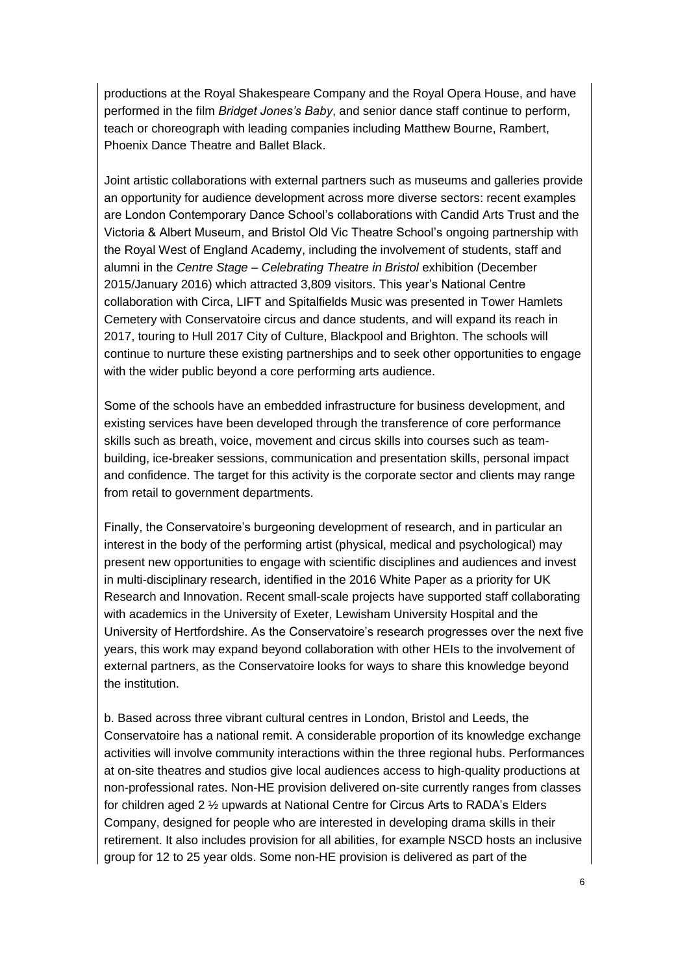productions at the Royal Shakespeare Company and the Royal Opera House, and have performed in the film *Bridget Jones's Baby*, and senior dance staff continue to perform, teach or choreograph with leading companies including Matthew Bourne, Rambert, Phoenix Dance Theatre and Ballet Black.

Joint artistic collaborations with external partners such as museums and galleries provide an opportunity for audience development across more diverse sectors: recent examples are London Contemporary Dance School's collaborations with Candid Arts Trust and the Victoria & Albert Museum, and Bristol Old Vic Theatre School's ongoing partnership with the Royal West of England Academy, including the involvement of students, staff and alumni in the *Centre Stage – Celebrating Theatre in Bristol* exhibition (December 2015/January 2016) which attracted 3,809 visitors. This year's National Centre collaboration with Circa, LIFT and Spitalfields Music was presented in Tower Hamlets Cemetery with Conservatoire circus and dance students, and will expand its reach in 2017, touring to Hull 2017 City of Culture, Blackpool and Brighton. The schools will continue to nurture these existing partnerships and to seek other opportunities to engage with the wider public beyond a core performing arts audience.

Some of the schools have an embedded infrastructure for business development, and existing services have been developed through the transference of core performance skills such as breath, voice, movement and circus skills into courses such as teambuilding, ice-breaker sessions, communication and presentation skills, personal impact and confidence. The target for this activity is the corporate sector and clients may range from retail to government departments.

Finally, the Conservatoire's burgeoning development of research, and in particular an interest in the body of the performing artist (physical, medical and psychological) may present new opportunities to engage with scientific disciplines and audiences and invest in multi-disciplinary research, identified in the 2016 White Paper as a priority for UK Research and Innovation. Recent small-scale projects have supported staff collaborating with academics in the University of Exeter, Lewisham University Hospital and the University of Hertfordshire. As the Conservatoire's research progresses over the next five years, this work may expand beyond collaboration with other HEIs to the involvement of external partners, as the Conservatoire looks for ways to share this knowledge beyond the institution.

b. Based across three vibrant cultural centres in London, Bristol and Leeds, the Conservatoire has a national remit. A considerable proportion of its knowledge exchange activities will involve community interactions within the three regional hubs. Performances at on-site theatres and studios give local audiences access to high-quality productions at non-professional rates. Non-HE provision delivered on-site currently ranges from classes for children aged 2 ½ upwards at National Centre for Circus Arts to RADA's Elders Company, designed for people who are interested in developing drama skills in their retirement. It also includes provision for all abilities, for example NSCD hosts an inclusive group for 12 to 25 year olds. Some non-HE provision is delivered as part of the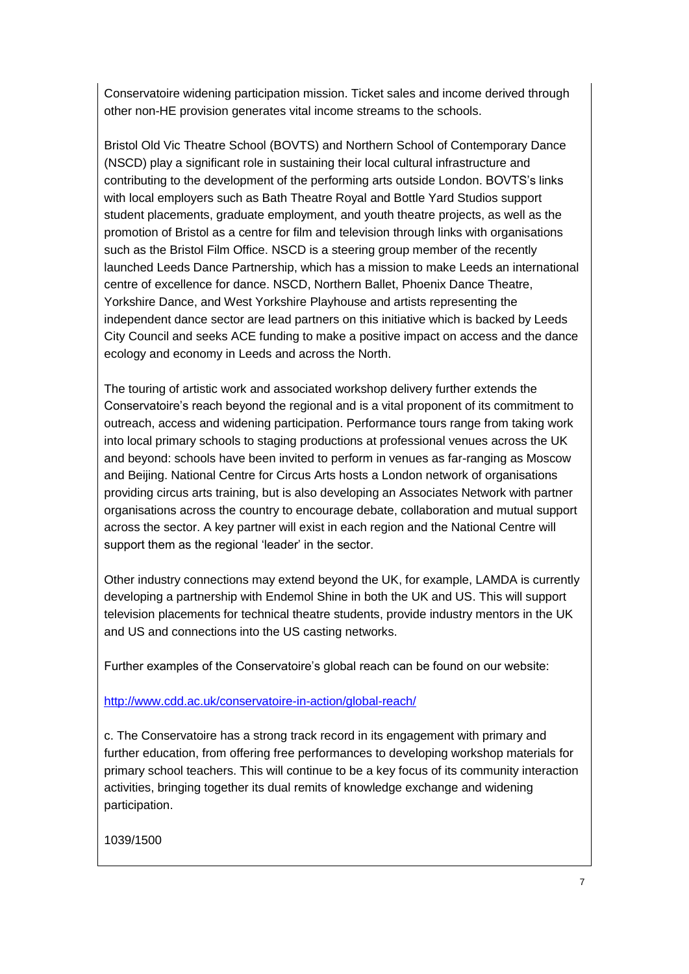Conservatoire widening participation mission. Ticket sales and income derived through other non-HE provision generates vital income streams to the schools.

Bristol Old Vic Theatre School (BOVTS) and Northern School of Contemporary Dance (NSCD) play a significant role in sustaining their local cultural infrastructure and contributing to the development of the performing arts outside London. BOVTS's links with local employers such as Bath Theatre Royal and Bottle Yard Studios support student placements, graduate employment, and youth theatre projects, as well as the promotion of Bristol as a centre for film and television through links with organisations such as the Bristol Film Office. NSCD is a steering group member of the recently launched Leeds Dance Partnership, which has a mission to make Leeds an international centre of excellence for dance. NSCD, Northern Ballet, Phoenix Dance Theatre, Yorkshire Dance, and West Yorkshire Playhouse and artists representing the independent dance sector are lead partners on this initiative which is backed by Leeds City Council and seeks ACE funding to make a positive impact on access and the dance ecology and economy in Leeds and across the North.

The touring of artistic work and associated workshop delivery further extends the Conservatoire's reach beyond the regional and is a vital proponent of its commitment to outreach, access and widening participation. Performance tours range from taking work into local primary schools to staging productions at professional venues across the UK and beyond: schools have been invited to perform in venues as far-ranging as Moscow and Beijing. National Centre for Circus Arts hosts a London network of organisations providing circus arts training, but is also developing an Associates Network with partner organisations across the country to encourage debate, collaboration and mutual support across the sector. A key partner will exist in each region and the National Centre will support them as the regional 'leader' in the sector.

Other industry connections may extend beyond the UK, for example, LAMDA is currently developing a partnership with Endemol Shine in both the UK and US. This will support television placements for technical theatre students, provide industry mentors in the UK and US and connections into the US casting networks.

Further examples of the Conservatoire's global reach can be found on our website:

# <http://www.cdd.ac.uk/conservatoire-in-action/global-reach/>

c. The Conservatoire has a strong track record in its engagement with primary and further education, from offering free performances to developing workshop materials for primary school teachers. This will continue to be a key focus of its community interaction activities, bringing together its dual remits of knowledge exchange and widening participation.

1039/1500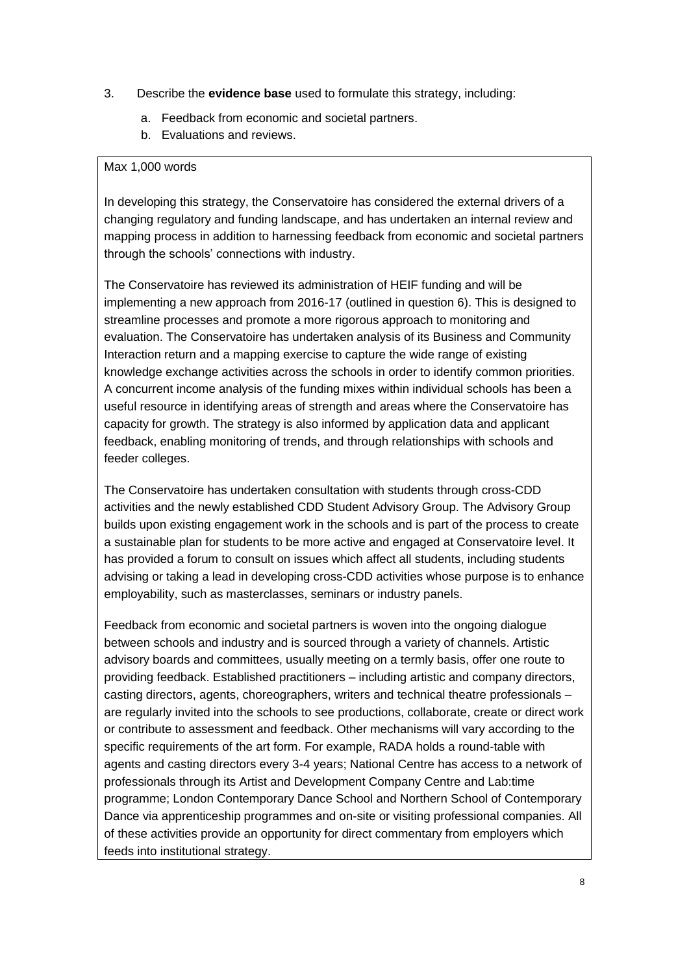- 3. Describe the **evidence base** used to formulate this strategy, including:
	- a. Feedback from economic and societal partners.
	- b. Evaluations and reviews.

#### Max 1,000 words

In developing this strategy, the Conservatoire has considered the external drivers of a changing regulatory and funding landscape, and has undertaken an internal review and mapping process in addition to harnessing feedback from economic and societal partners through the schools' connections with industry.

The Conservatoire has reviewed its administration of HEIF funding and will be implementing a new approach from 2016-17 (outlined in question 6). This is designed to streamline processes and promote a more rigorous approach to monitoring and evaluation. The Conservatoire has undertaken analysis of its Business and Community Interaction return and a mapping exercise to capture the wide range of existing knowledge exchange activities across the schools in order to identify common priorities. A concurrent income analysis of the funding mixes within individual schools has been a useful resource in identifying areas of strength and areas where the Conservatoire has capacity for growth. The strategy is also informed by application data and applicant feedback, enabling monitoring of trends, and through relationships with schools and feeder colleges.

The Conservatoire has undertaken consultation with students through cross-CDD activities and the newly established CDD Student Advisory Group. The Advisory Group builds upon existing engagement work in the schools and is part of the process to create a sustainable plan for students to be more active and engaged at Conservatoire level. It has provided a forum to consult on issues which affect all students, including students advising or taking a lead in developing cross-CDD activities whose purpose is to enhance employability, such as masterclasses, seminars or industry panels.

Feedback from economic and societal partners is woven into the ongoing dialogue between schools and industry and is sourced through a variety of channels. Artistic advisory boards and committees, usually meeting on a termly basis, offer one route to providing feedback. Established practitioners – including artistic and company directors, casting directors, agents, choreographers, writers and technical theatre professionals – are regularly invited into the schools to see productions, collaborate, create or direct work or contribute to assessment and feedback. Other mechanisms will vary according to the specific requirements of the art form. For example, RADA holds a round-table with agents and casting directors every 3-4 years; National Centre has access to a network of professionals through its Artist and Development Company Centre and Lab:time programme; London Contemporary Dance School and Northern School of Contemporary Dance via apprenticeship programmes and on-site or visiting professional companies. All of these activities provide an opportunity for direct commentary from employers which feeds into institutional strategy.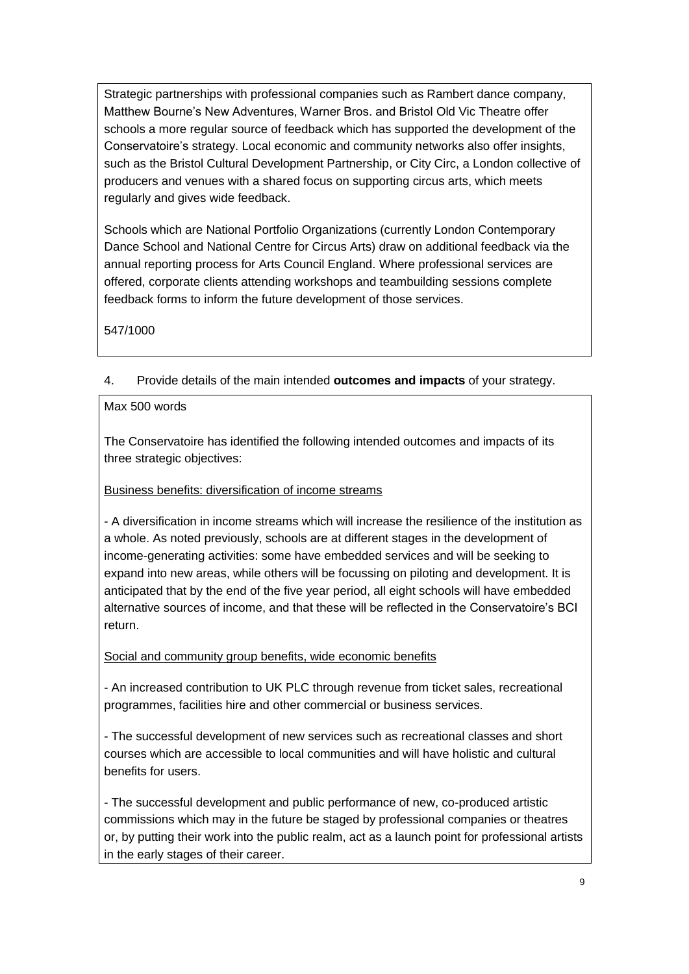Strategic partnerships with professional companies such as Rambert dance company, Matthew Bourne's New Adventures, Warner Bros. and Bristol Old Vic Theatre offer schools a more regular source of feedback which has supported the development of the Conservatoire's strategy. Local economic and community networks also offer insights, such as the Bristol Cultural Development Partnership, or City Circ, a London collective of producers and venues with a shared focus on supporting circus arts, which meets regularly and gives wide feedback.

Schools which are National Portfolio Organizations (currently London Contemporary Dance School and National Centre for Circus Arts) draw on additional feedback via the annual reporting process for Arts Council England. Where professional services are offered, corporate clients attending workshops and teambuilding sessions complete feedback forms to inform the future development of those services.

547/1000

# 4. Provide details of the main intended **outcomes and impacts** of your strategy.

# Max 500 words

The Conservatoire has identified the following intended outcomes and impacts of its three strategic objectives:

# Business benefits: diversification of income streams

- A diversification in income streams which will increase the resilience of the institution as a whole. As noted previously, schools are at different stages in the development of income-generating activities: some have embedded services and will be seeking to expand into new areas, while others will be focussing on piloting and development. It is anticipated that by the end of the five year period, all eight schools will have embedded alternative sources of income, and that these will be reflected in the Conservatoire's BCI return.

Social and community group benefits, wide economic benefits

- An increased contribution to UK PLC through revenue from ticket sales, recreational programmes, facilities hire and other commercial or business services.

- The successful development of new services such as recreational classes and short courses which are accessible to local communities and will have holistic and cultural benefits for users.

- The successful development and public performance of new, co-produced artistic commissions which may in the future be staged by professional companies or theatres or, by putting their work into the public realm, act as a launch point for professional artists in the early stages of their career.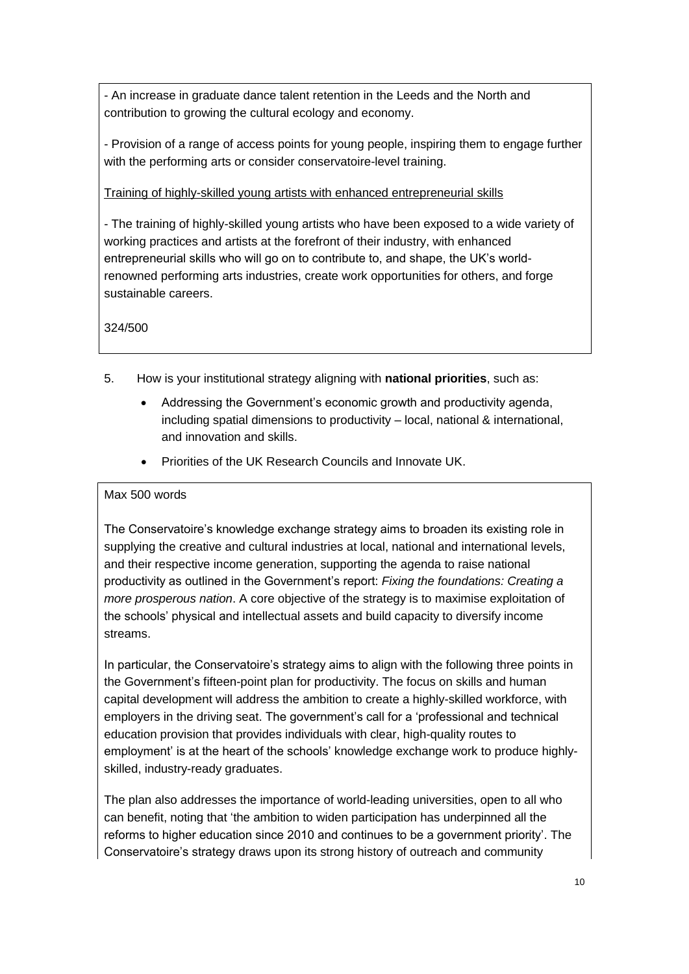- An increase in graduate dance talent retention in the Leeds and the North and contribution to growing the cultural ecology and economy.

- Provision of a range of access points for young people, inspiring them to engage further with the performing arts or consider conservatoire-level training.

Training of highly-skilled young artists with enhanced entrepreneurial skills

- The training of highly-skilled young artists who have been exposed to a wide variety of working practices and artists at the forefront of their industry, with enhanced entrepreneurial skills who will go on to contribute to, and shape, the UK's worldrenowned performing arts industries, create work opportunities for others, and forge sustainable careers.

324/500

- 5. How is your institutional strategy aligning with **national priorities**, such as:
	- Addressing the Government's economic growth and productivity agenda, including spatial dimensions to productivity – local, national & international, and innovation and skills.
	- Priorities of the UK Research Councils and Innovate UK.

# Max 500 words

The Conservatoire's knowledge exchange strategy aims to broaden its existing role in supplying the creative and cultural industries at local, national and international levels, and their respective income generation, supporting the agenda to raise national productivity as outlined in the Government's report: *Fixing the foundations: Creating a more prosperous nation*. A core objective of the strategy is to maximise exploitation of the schools' physical and intellectual assets and build capacity to diversify income streams.

In particular, the Conservatoire's strategy aims to align with the following three points in the Government's fifteen-point plan for productivity. The focus on skills and human capital development will address the ambition to create a highly-skilled workforce, with employers in the driving seat. The government's call for a 'professional and technical education provision that provides individuals with clear, high-quality routes to employment' is at the heart of the schools' knowledge exchange work to produce highlyskilled, industry-ready graduates.

The plan also addresses the importance of world-leading universities, open to all who can benefit, noting that 'the ambition to widen participation has underpinned all the reforms to higher education since 2010 and continues to be a government priority'. The Conservatoire's strategy draws upon its strong history of outreach and community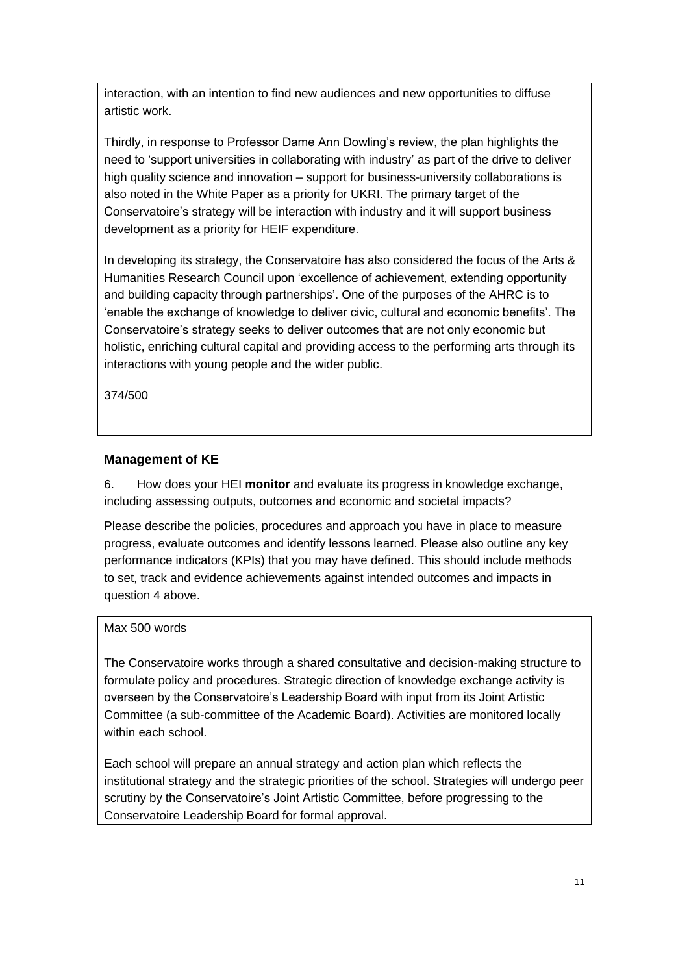interaction, with an intention to find new audiences and new opportunities to diffuse artistic work.

Thirdly, in response to Professor Dame Ann Dowling's review, the plan highlights the need to 'support universities in collaborating with industry' as part of the drive to deliver high quality science and innovation – support for business-university collaborations is also noted in the White Paper as a priority for UKRI. The primary target of the Conservatoire's strategy will be interaction with industry and it will support business development as a priority for HEIF expenditure.

In developing its strategy, the Conservatoire has also considered the focus of the Arts & Humanities Research Council upon 'excellence of achievement, extending opportunity and building capacity through partnerships'. One of the purposes of the AHRC is to 'enable the exchange of knowledge to deliver civic, cultural and economic benefits'. The Conservatoire's strategy seeks to deliver outcomes that are not only economic but holistic, enriching cultural capital and providing access to the performing arts through its interactions with young people and the wider public.

374/500

#### **Management of KE**

6. How does your HEI **monitor** and evaluate its progress in knowledge exchange, including assessing outputs, outcomes and economic and societal impacts?

Please describe the policies, procedures and approach you have in place to measure progress, evaluate outcomes and identify lessons learned. Please also outline any key performance indicators (KPIs) that you may have defined. This should include methods to set, track and evidence achievements against intended outcomes and impacts in question 4 above.

### Max 500 words

The Conservatoire works through a shared consultative and decision-making structure to formulate policy and procedures. Strategic direction of knowledge exchange activity is overseen by the Conservatoire's Leadership Board with input from its Joint Artistic Committee (a sub-committee of the Academic Board). Activities are monitored locally within each school

Each school will prepare an annual strategy and action plan which reflects the institutional strategy and the strategic priorities of the school. Strategies will undergo peer scrutiny by the Conservatoire's Joint Artistic Committee, before progressing to the Conservatoire Leadership Board for formal approval.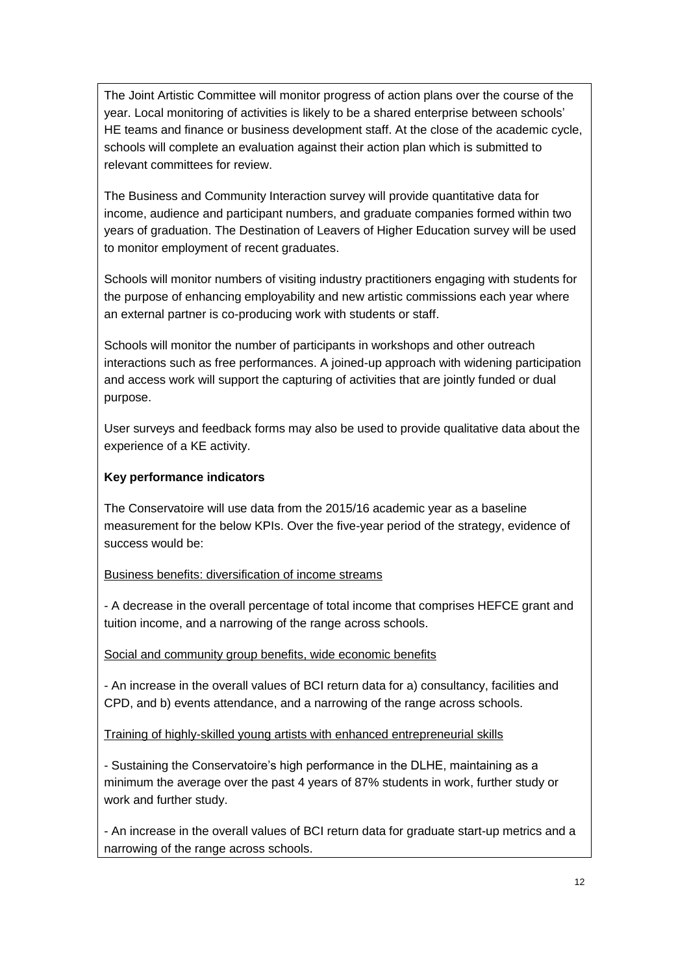The Joint Artistic Committee will monitor progress of action plans over the course of the year. Local monitoring of activities is likely to be a shared enterprise between schools' HE teams and finance or business development staff. At the close of the academic cycle, schools will complete an evaluation against their action plan which is submitted to relevant committees for review.

The Business and Community Interaction survey will provide quantitative data for income, audience and participant numbers, and graduate companies formed within two years of graduation. The Destination of Leavers of Higher Education survey will be used to monitor employment of recent graduates.

Schools will monitor numbers of visiting industry practitioners engaging with students for the purpose of enhancing employability and new artistic commissions each year where an external partner is co-producing work with students or staff.

Schools will monitor the number of participants in workshops and other outreach interactions such as free performances. A joined-up approach with widening participation and access work will support the capturing of activities that are jointly funded or dual purpose.

User surveys and feedback forms may also be used to provide qualitative data about the experience of a KE activity.

### **Key performance indicators**

The Conservatoire will use data from the 2015/16 academic year as a baseline measurement for the below KPIs. Over the five-year period of the strategy, evidence of success would be:

#### Business benefits: diversification of income streams

- A decrease in the overall percentage of total income that comprises HEFCE grant and tuition income, and a narrowing of the range across schools.

#### Social and community group benefits, wide economic benefits

- An increase in the overall values of BCI return data for a) consultancy, facilities and CPD, and b) events attendance, and a narrowing of the range across schools.

Training of highly-skilled young artists with enhanced entrepreneurial skills

- Sustaining the Conservatoire's high performance in the DLHE, maintaining as a minimum the average over the past 4 years of 87% students in work, further study or work and further study.

- An increase in the overall values of BCI return data for graduate start-up metrics and a narrowing of the range across schools.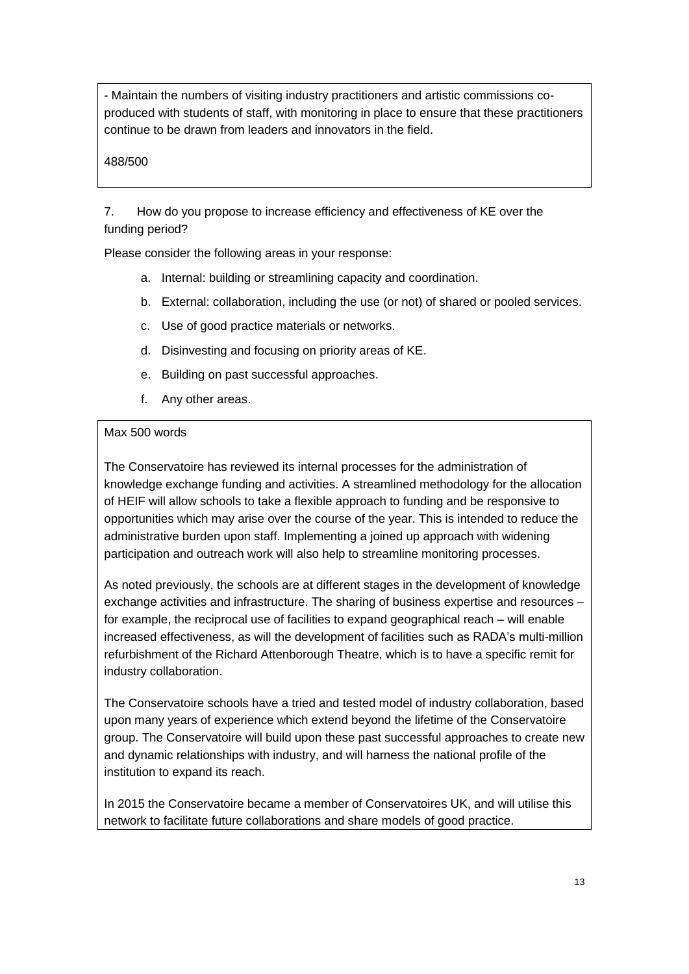- Maintain the numbers of visiting industry practitioners and artistic commissions coproduced with students of staff, with monitoring in place to ensure that these practitioners continue to be drawn from leaders and innovators in the field.

# 488/500

7. How do you propose to increase efficiency and effectiveness of KE over the funding period?

Please consider the following areas in your response:

- a. Internal: building or streamlining capacity and coordination.
- b. External: collaboration, including the use (or not) of shared or pooled services.
- c. Use of good practice materials or networks.
- d. Disinvesting and focusing on priority areas of KE.
- e. Building on past successful approaches.
- f. Any other areas.

### Max 500 words

The Conservatoire has reviewed its internal processes for the administration of knowledge exchange funding and activities. A streamlined methodology for the allocation of HEIF will allow schools to take a flexible approach to funding and be responsive to opportunities which may arise over the course of the year. This is intended to reduce the administrative burden upon staff. Implementing a joined up approach with widening participation and outreach work will also help to streamline monitoring processes.

As noted previously, the schools are at different stages in the development of knowledge exchange activities and infrastructure. The sharing of business expertise and resources – for example, the reciprocal use of facilities to expand geographical reach – will enable increased effectiveness, as will the development of facilities such as RADA's multi-million refurbishment of the Richard Attenborough Theatre, which is to have a specific remit for industry collaboration.

The Conservatoire schools have a tried and tested model of industry collaboration, based upon many years of experience which extend beyond the lifetime of the Conservatoire group. The Conservatoire will build upon these past successful approaches to create new and dynamic relationships with industry, and will harness the national profile of the institution to expand its reach.

In 2015 the Conservatoire became a member of Conservatoires UK, and will utilise this network to facilitate future collaborations and share models of good practice.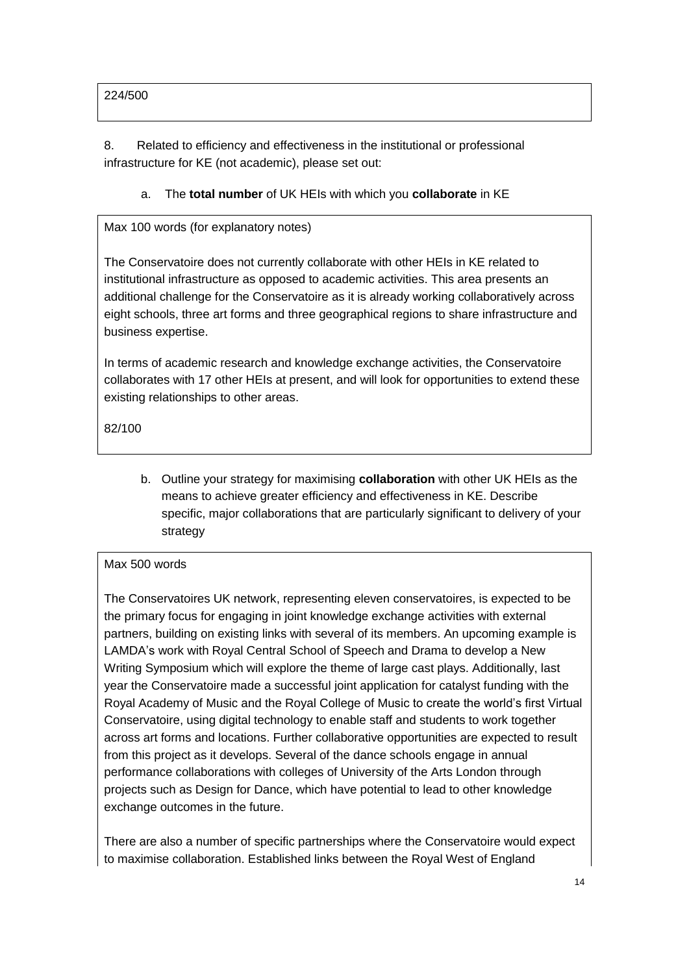# 224/500

8. Related to efficiency and effectiveness in the institutional or professional infrastructure for KE (not academic), please set out:

# a. The **total number** of UK HEIs with which you **collaborate** in KE

# Max 100 words (for explanatory notes)

The Conservatoire does not currently collaborate with other HEIs in KE related to institutional infrastructure as opposed to academic activities. This area presents an additional challenge for the Conservatoire as it is already working collaboratively across eight schools, three art forms and three geographical regions to share infrastructure and business expertise.

In terms of academic research and knowledge exchange activities, the Conservatoire collaborates with 17 other HEIs at present, and will look for opportunities to extend these existing relationships to other areas.

82/100

b. Outline your strategy for maximising **collaboration** with other UK HEIs as the means to achieve greater efficiency and effectiveness in KE. Describe specific, major collaborations that are particularly significant to delivery of your strategy

# Max 500 words

The Conservatoires UK network, representing eleven conservatoires, is expected to be the primary focus for engaging in joint knowledge exchange activities with external partners, building on existing links with several of its members. An upcoming example is LAMDA's work with Royal Central School of Speech and Drama to develop a New Writing Symposium which will explore the theme of large cast plays. Additionally, last year the Conservatoire made a successful joint application for catalyst funding with the Royal Academy of Music and the Royal College of Music to create the world's first Virtual Conservatoire, using digital technology to enable staff and students to work together across art forms and locations. Further collaborative opportunities are expected to result from this project as it develops. Several of the dance schools engage in annual performance collaborations with colleges of University of the Arts London through projects such as Design for Dance, which have potential to lead to other knowledge exchange outcomes in the future.

There are also a number of specific partnerships where the Conservatoire would expect to maximise collaboration. Established links between the Royal West of England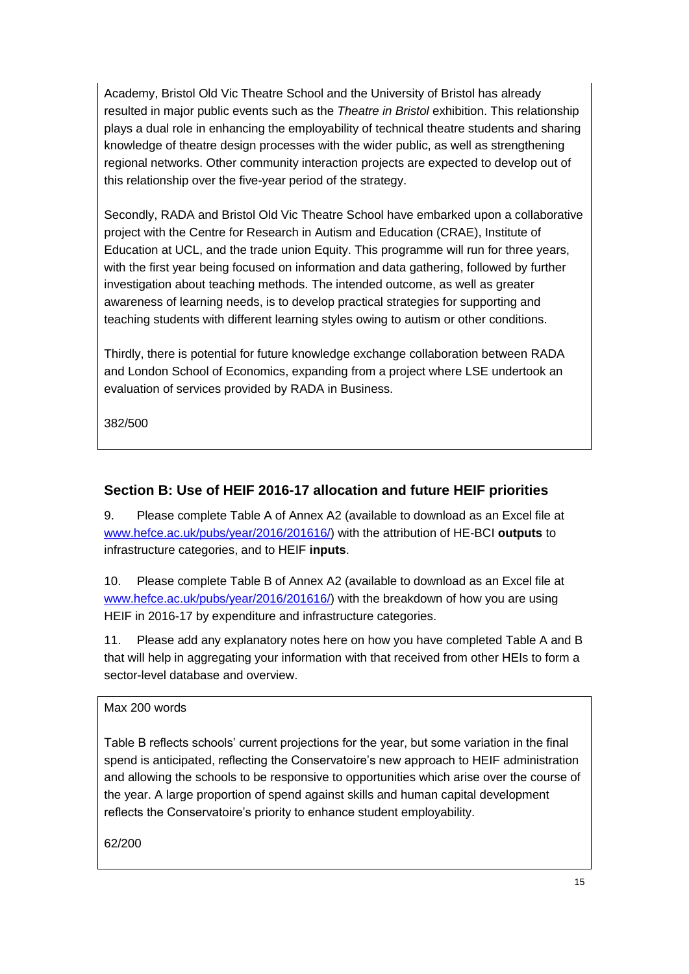Academy, Bristol Old Vic Theatre School and the University of Bristol has already resulted in major public events such as the *Theatre in Bristol* exhibition. This relationship plays a dual role in enhancing the employability of technical theatre students and sharing knowledge of theatre design processes with the wider public, as well as strengthening regional networks. Other community interaction projects are expected to develop out of this relationship over the five-year period of the strategy.

Secondly, RADA and Bristol Old Vic Theatre School have embarked upon a collaborative project with the Centre for Research in Autism and Education (CRAE), Institute of Education at UCL, and the trade union Equity. This programme will run for three years, with the first year being focused on information and data gathering, followed by further investigation about teaching methods. The intended outcome, as well as greater awareness of learning needs, is to develop practical strategies for supporting and teaching students with different learning styles owing to autism or other conditions.

Thirdly, there is potential for future knowledge exchange collaboration between RADA and London School of Economics, expanding from a project where LSE undertook an evaluation of services provided by RADA in Business.

382/500

# **Section B: Use of HEIF 2016-17 allocation and future HEIF priorities**

9. Please complete Table A of Annex A2 (available to download as an Excel file at [www.hefce.ac.uk/pubs/year/2016/201616/\)](http://www.hefce.ac.uk/pubs/year/2016/201616/) with the attribution of HE-BCI **outputs** to infrastructure categories, and to HEIF **inputs**.

10. Please complete Table B of Annex A2 (available to download as an Excel file at [www.hefce.ac.uk/pubs/year/2016/201616/\)](http://www.hefce.ac.uk/pubs/year/2016/201616/) with the breakdown of how you are using HEIF in 2016-17 by expenditure and infrastructure categories.

11. Please add any explanatory notes here on how you have completed Table A and B that will help in aggregating your information with that received from other HEIs to form a sector-level database and overview.

Max 200 words

Table B reflects schools' current projections for the year, but some variation in the final spend is anticipated, reflecting the Conservatoire's new approach to HEIF administration and allowing the schools to be responsive to opportunities which arise over the course of the year. A large proportion of spend against skills and human capital development reflects the Conservatoire's priority to enhance student employability.

62/200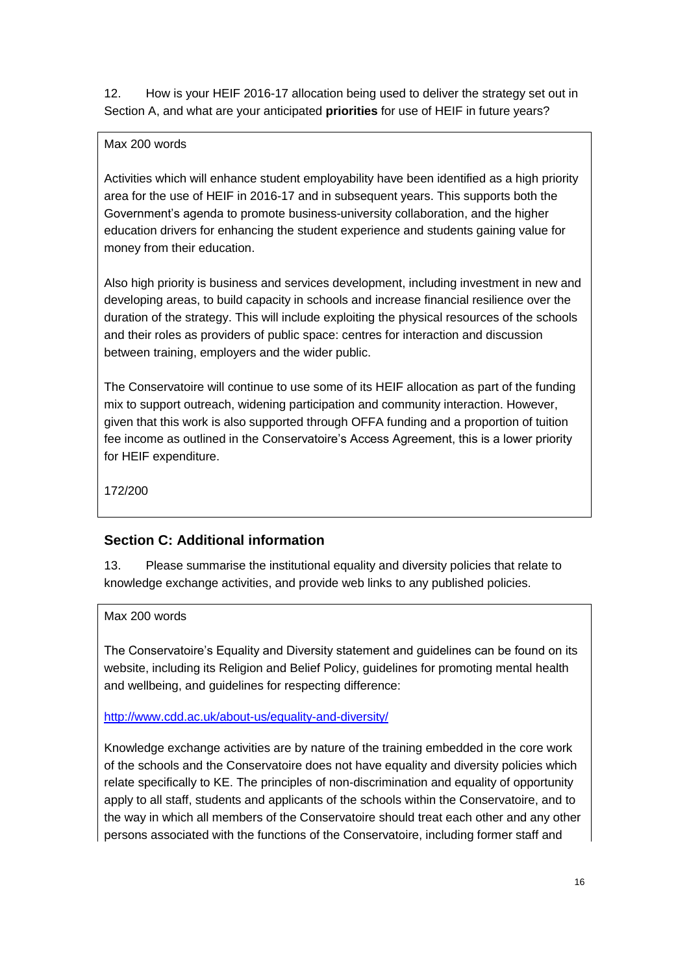12. How is your HEIF 2016-17 allocation being used to deliver the strategy set out in Section A, and what are your anticipated **priorities** for use of HEIF in future years?

# Max 200 words

Activities which will enhance student employability have been identified as a high priority area for the use of HEIF in 2016-17 and in subsequent years. This supports both the Government's agenda to promote business-university collaboration, and the higher education drivers for enhancing the student experience and students gaining value for money from their education.

Also high priority is business and services development, including investment in new and developing areas, to build capacity in schools and increase financial resilience over the duration of the strategy. This will include exploiting the physical resources of the schools and their roles as providers of public space: centres for interaction and discussion between training, employers and the wider public.

The Conservatoire will continue to use some of its HEIF allocation as part of the funding mix to support outreach, widening participation and community interaction. However, given that this work is also supported through OFFA funding and a proportion of tuition fee income as outlined in the Conservatoire's Access Agreement, this is a lower priority for HEIF expenditure.

172/200

# **Section C: Additional information**

13. Please summarise the institutional equality and diversity policies that relate to knowledge exchange activities, and provide web links to any published policies.

#### Max 200 words

The Conservatoire's Equality and Diversity statement and guidelines can be found on its website, including its Religion and Belief Policy, guidelines for promoting mental health and wellbeing, and guidelines for respecting difference:

# <http://www.cdd.ac.uk/about-us/equality-and-diversity/>

Knowledge exchange activities are by nature of the training embedded in the core work of the schools and the Conservatoire does not have equality and diversity policies which relate specifically to KE. The principles of non-discrimination and equality of opportunity apply to all staff, students and applicants of the schools within the Conservatoire, and to the way in which all members of the Conservatoire should treat each other and any other persons associated with the functions of the Conservatoire, including former staff and